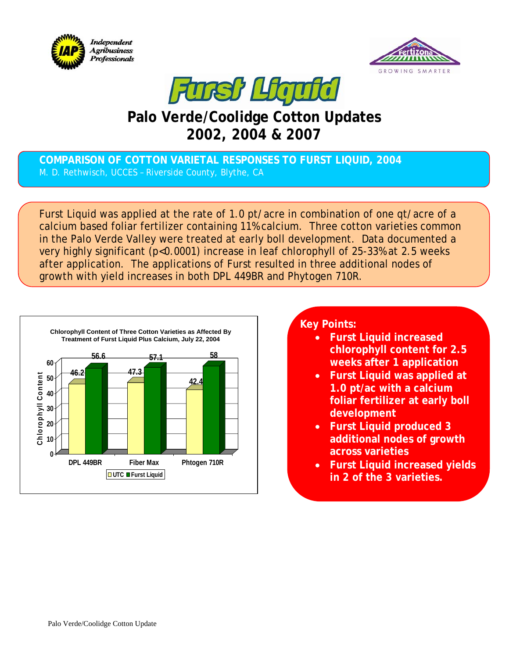





## **Palo Verde/Coolidge Cotton Updates 2002, 2004 & 2007**

## **COMPARISON OF COTTON VARIETAL RESPONSES TO FURST LIQUID, 2004**  M. D. Rethwisch, UCCES – Riverside County, Blythe, CA

Furst Liquid was applied at the rate of 1.0 pt/acre in combination of one qt/acre of a calcium based foliar fertilizer containing 11% calcium. Three cotton varieties common in the Palo Verde Valley were treated at early boll development. Data documented a very highly significant (p<0.0001) increase in leaf chlorophyll of 25-33% at 2.5 weeks after application. The applications of Furst resulted in three additional nodes of growth with yield increases in both DPL 449BR and Phytogen 710R.



## **Key Points:**

- **Furst Liquid increased chlorophyll content for 2.5 weeks after 1 application**
- **Furst Liquid was applied at 1.0 pt/ac with a calcium foliar fertilizer at early boll development**
- **Furst Liquid produced 3 additional nodes of growth across varieties**
- **Furst Liquid increased yields in 2 of the 3 varieties.**